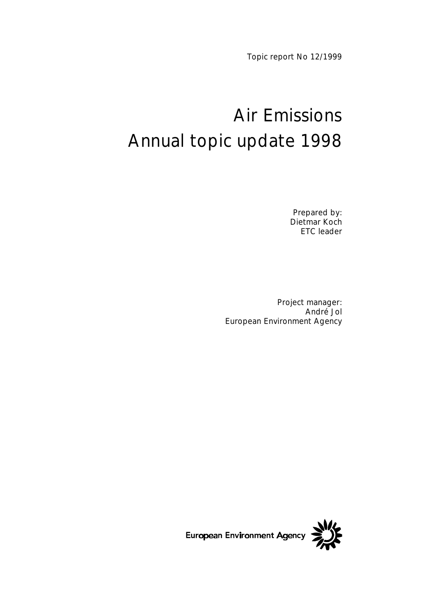Topic report No 12/1999

# Air Emissions Annual topic update 1998

Prepared by: Dietmar Koch ETC leader

Project manager: André Jol European Environment Agency

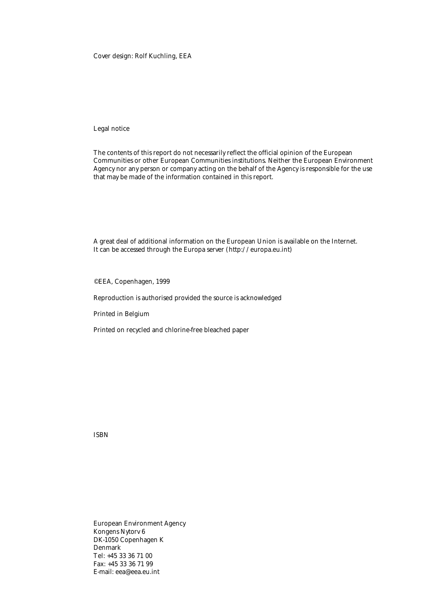Cover design: Rolf Kuchling, EEA

Legal notice

The contents of this report do not necessarily reflect the official opinion of the European Communities or other European Communities institutions. Neither the European Environment Agency nor any person or company acting on the behalf of the Agency is responsible for the use that may be made of the information contained in this report.

A great deal of additional information on the European Union is available on the Internet. It can be accessed through the Europa server (http://europa.eu.int)

©EEA, Copenhagen, 1999

Reproduction is authorised provided the source is acknowledged

Printed in Belgium

Printed on recycled and chlorine-free bleached paper

ISBN

European Environment Agency Kongens Nytorv 6 DK-1050 Copenhagen K Denmark Tel: +45 33 36 71 00 Fax: +45 33 36 71 99 E-mail: eea@eea.eu.int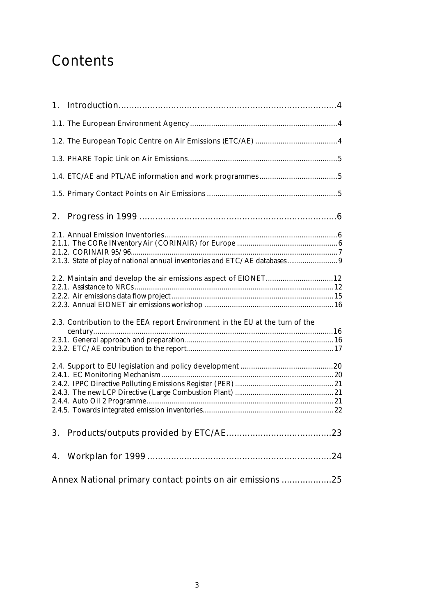## **Contents**

| 2. |                                                                              |  |
|----|------------------------------------------------------------------------------|--|
|    |                                                                              |  |
|    | 2.1.3. State of play of national annual inventories and ETC/AE databases 9   |  |
|    | 2.2. Maintain and develop the air emissions aspect of EIONET12               |  |
|    |                                                                              |  |
|    | 2.3. Contribution to the EEA report Environment in the EU at the turn of the |  |
|    |                                                                              |  |
|    |                                                                              |  |
|    |                                                                              |  |
|    |                                                                              |  |
|    |                                                                              |  |
|    |                                                                              |  |
|    |                                                                              |  |
|    |                                                                              |  |
|    |                                                                              |  |
|    |                                                                              |  |
|    | Annex National primary contact points on air emissions 25                    |  |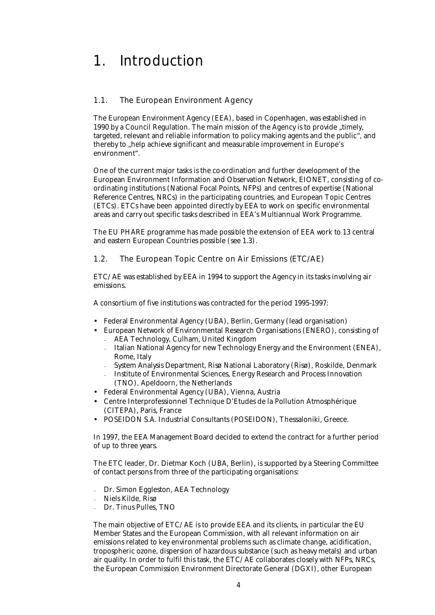### 1. Introduction

#### 1.1. The European Environment Agency

The European Environment Agency (EEA), based in Copenhagen, was established in 1990 by a Council Regulation. The main mission of the Agency is to provide "timely, targeted, relevant and reliable information to policy making agents and the public", and thereby to "help achieve significant and measurable improvement in Europe's environment".

One of the current major tasks is the co-ordination and further development of the European Environment Information and Observation Network, EIONET, consisting of coordinating institutions (National Focal Points, NFPs) and centres of expertise (National Reference Centres, NRCs) in the participating countries, and European Topic Centres (ETCs). ETCs have been appointed directly by EEA to work on specific environmental areas and carry out specific tasks described in EEA's Multiannual Work Programme.

The EU PHARE programme has made possible the extension of EEA work to 13 central and eastern European Countries possible (see 1.3).

#### 1.2. The European Topic Centre on Air Emissions (ETC/AE)

ETC/AE was established by EEA in 1994 to support the Agency in its tasks involving air emissions.

A consortium of five institutions was contracted for the period 1995-1997:

- Federal Environmental Agency (UBA), Berlin, Germany (lead organisation)
- European Network of Environmental Research Organisations (ENERO), consisting of <sup>−</sup>AEA Technology, Culham, United Kingdom
	- <sup>−</sup>Italian National Agency for new Technology Energy and the Environment (ENEA), Rome, Italy
	- <sup>−</sup>System Analysis Department, Risø National Laboratory (Risø), Roskilde, Denmark
	- <sup>−</sup>Institute of Environmental Sciences, Energy Research and Process Innovation (TNO), Apeldoorn, the Netherlands
- Federal Environmental Agency (UBA), Vienna, Austria
- Centre Interprofessionnel Technique D'Etudes de la Pollution Atmosphérique (CITEPA), Paris, France
- POSEIDON S.A. Industrial Consultants (POSEIDON), Thessaloniki, Greece.

In 1997, the EEA Management Board decided to extend the contract for a further period of up to three years.

The ETC leader, Dr. Dietmar Koch (UBA, Berlin), is supported by a Steering Committee of contact persons from three of the participating organisations:

- Dr. Simon Eggleston, AEA Technology
- <sup>−</sup>Niels Kilde, Risø
- <sup>−</sup>Dr. Tinus Pulles, TNO

The main objective of ETC/AE is to provide EEA and its clients, in particular the EU Member States and the European Commission, with all relevant information on air emissions related to key environmental problems such as climate change, acidification, tropospheric ozone, dispersion of hazardous substance (such as heavy metals) and urban air quality. In order to fulfil this task, the ETC/AE collaborates closely with NFPs, NRCs, the European Commission Environment Directorate General (DGXI), other European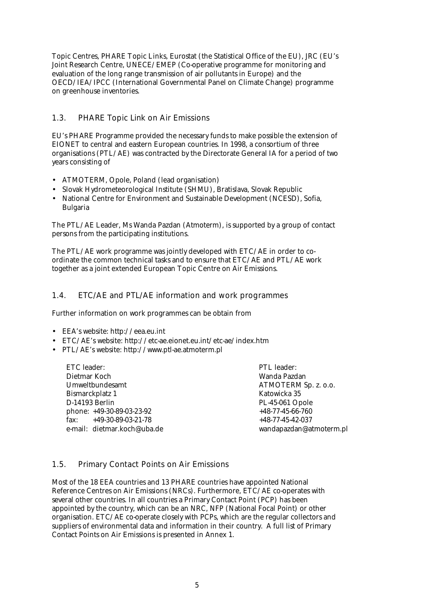Topic Centres, PHARE Topic Links, Eurostat (the Statistical Office of the EU), JRC (EU's Joint Research Centre, UNECE/EMEP (Co-operative programme for monitoring and evaluation of the long range transmission of air pollutants in Europe) and the OECD/IEA/IPCC (International Governmental Panel on Climate Change) programme on greenhouse inventories.

#### 1.3. PHARE Topic Link on Air Emissions

EU's PHARE Programme provided the necessary funds to make possible the extension of EIONET to central and eastern European countries. In 1998, a consortium of three organisations (PTL/AE) was contracted by the Directorate General IA for a period of two years consisting of

- ATMOTERM, Opole, Poland (lead organisation)
- Slovak Hydrometeorological Institute (SHMU), Bratislava, Slovak Republic
- National Centre for Environment and Sustainable Development (NCESD), Sofia, Bulgaria

The PTL/AE Leader, Ms Wanda Pazdan (Atmoterm), is supported by a group of contact persons from the participating institutions.

The PTL/AE work programme was jointly developed with ETC/AE in order to coordinate the common technical tasks and to ensure that ETC/AE and PTL/AE work together as a joint extended European Topic Centre on Air Emissions.

#### 1.4. ETC/AE and PTL/AE information and work programmes

Further information on work programmes can be obtain from

- EEA's website: http://eea.eu.int
- ETC/AE's website: http://etc-ae.eionet.eu.int/etc-ae/index.htm
- PTL/AE's website: http://www.ptl-ae.atmoterm.pl

ETC leader: Dietmar Koch Umweltbundesamt Bismarckplatz 1 D-14193 Berlin phone: +49-30-89-03-23-92 fax: +49-30-89-03-21-78 e-mail: dietmar.koch@uba.de PTL leader: Wanda Pazdan ATMOTERM Sp. z. o.o. Katowicka 35 PL-45-061 Opole +48-77-45-66-760 +48-77-45-42-037 wandapazdan@atmoterm.pl

#### 1.5. Primary Contact Points on Air Emissions

Most of the 18 EEA countries and 13 PHARE countries have appointed National Reference Centres on Air Emissions (NRCs). Furthermore, ETC/AE co-operates with several other countries. In all countries a Primary Contact Point (PCP) has been appointed by the country, which can be an NRC, NFP (National Focal Point) or other organisation. ETC/AE co-operate closely with PCPs, which are the regular collectors and suppliers of environmental data and information in their country. A full list of Primary Contact Points on Air Emissions is presented in Annex 1.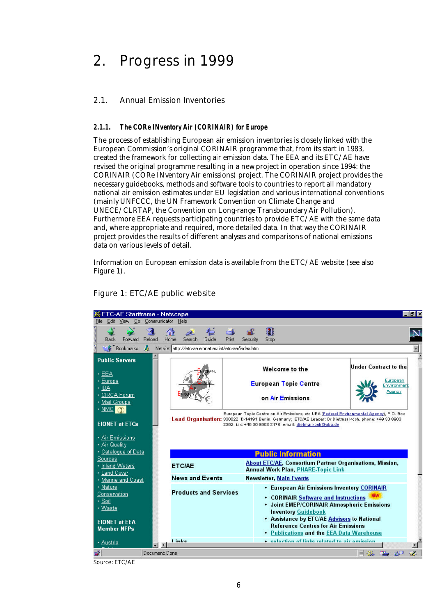### 2. Progress in 1999

#### 2.1. Annual Emission Inventories

#### *2.1.1. The CORe INventory Air (CORINAIR) for Europe*

The process of establishing European air emission inventories is closely linked with the European Commission's original CORINAIR programme that, from its start in 1983, created the framework for collecting air emission data. The EEA and its ETC/AE have revised the original programme resulting in a new project in operation since 1994: the CORINAIR (CORe INventory Air emissions) project. The CORINAIR project provides the necessary guidebooks, methods and software tools to countries to report all mandatory national air emission estimates under EU legislation and various international conventions (mainly UNFCCC, the UN Framework Convention on Climate Change and UNECE/CLRTAP, the Convention on Long-range Transboundary Air Pollution). Furthermore EEA requests participating countries to provide ETC/AE with the same data and, where appropriate and required, more detailed data. In that way the CORINAIR project provides the results of different analyses and comparisons of national emissions data on various levels of detail.

Information on European emission data is available from the ETC/AE website (see also Figure 1).

|                                                                                                                                                                          | . ETC-AE Startframe - Netscape<br>$-15x$ |                                                       |                |          |                  |                                                                                                                                                                                                                                                                                                                                     |                                                                   |  |
|--------------------------------------------------------------------------------------------------------------------------------------------------------------------------|------------------------------------------|-------------------------------------------------------|----------------|----------|------------------|-------------------------------------------------------------------------------------------------------------------------------------------------------------------------------------------------------------------------------------------------------------------------------------------------------------------------------------|-------------------------------------------------------------------|--|
| Edit View Go Communicator Help<br>File.                                                                                                                                  |                                          |                                                       |                |          |                  |                                                                                                                                                                                                                                                                                                                                     |                                                                   |  |
| Forward<br>Back                                                                                                                                                          | Reload                                   | Home<br>Search                                        | Guide<br>Print | Security | a<br><b>Stop</b> |                                                                                                                                                                                                                                                                                                                                     |                                                                   |  |
| <b>Bookmarks</b>                                                                                                                                                         | A.                                       | Netsite: http://etc-ae.eionet.eu.int/etc-ae/index.htm |                |          |                  |                                                                                                                                                                                                                                                                                                                                     |                                                                   |  |
| <b>Public Servers</b><br>EFA<br>+ Europa<br>+ IDA<br>· CIRCA Forum<br>• Mail Groups<br>$\cdot$ NMC $\sigma$<br><b>EIONET at ETCs</b><br>· Air Emissions<br>· Air Quality |                                          |                                                       |                |          |                  | Welcome to the<br><b>European Topic Centre</b><br>on Air Emissions<br>European Topic Centre on Air Emissions, o/o UBA (Federal Environmental Agency), P.O. Box<br>Lead Organisation: 330022, D-14191 Berlin, Germany; ETC/AE Leader: Dr Dietmar Koch, phone: +49 30 8903<br>2392, fax: +49 30 8903 2178, email: dietmar.koch@uba.de | <b>Under Contract to the</b><br>European<br>Environment<br>Agency |  |
| + Catalogue of Data                                                                                                                                                      |                                          |                                                       |                |          |                  | <b>Public Information</b>                                                                                                                                                                                                                                                                                                           |                                                                   |  |
| <b>Sources</b><br>• Inland Waters<br>• Land Cover                                                                                                                        |                                          | <b>ETCIAE</b>                                         |                |          |                  | <b>About ETC/AE, Consortium Partner Organisations, Mission,</b><br><b>Annual Work Plan, PHARE-Topic Link</b>                                                                                                                                                                                                                        |                                                                   |  |
| Marine and Coast                                                                                                                                                         |                                          | <b>News and Events</b>                                |                |          |                  | <b>Newsletter, Main Events</b>                                                                                                                                                                                                                                                                                                      |                                                                   |  |
| • Nature<br>Conservation<br>+ Soil<br>• Waste                                                                                                                            |                                          | <b>Products and Services</b>                          |                |          |                  | • European Air Emissions Inventory CORINAIR<br>• CORINAIR Software and Instructions<br>• Joint EMEP/CORINAIR Atmospheric Emissions<br><b>Inventory Guidebook</b>                                                                                                                                                                    |                                                                   |  |
| <b>EIONET at EEA</b><br><b>Member NFPs</b>                                                                                                                               |                                          |                                                       |                |          |                  | • Assistance by ETC/AE Advisors to National<br><b>Reference Centres for Air Emissions</b><br>• Publications and the EEA Data Warehouse                                                                                                                                                                                              |                                                                   |  |
| • Austria                                                                                                                                                                | $\mathbf{R}$                             | linke                                                 |                |          |                  | <b>e</b> selection of links related to air emission                                                                                                                                                                                                                                                                                 |                                                                   |  |
| చె                                                                                                                                                                       | Document: Done                           |                                                       |                |          |                  |                                                                                                                                                                                                                                                                                                                                     | 目器<br>- GP                                                        |  |

Figure 1: ETC/AE public website

Source: ETC/AE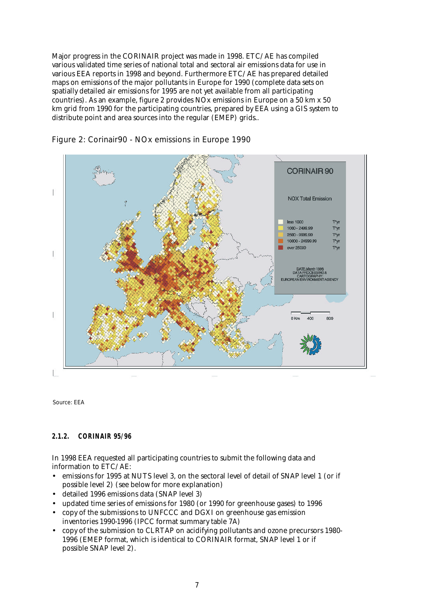Major progress in the CORINAIR project was made in 1998. ETC/AE has compiled various validated time series of national total and sectoral air emissions data for use in various EEA reports in 1998 and beyond. Furthermore ETC/AE has prepared detailed maps on emissions of the major pollutants in Europe for 1990 (complete data sets on spatially detailed air emissions for 1995 are not yet available from all participating countries). As an example, figure 2 provides NOx emissions in Europe on a 50 km x 50 km grid from 1990 for the participating countries, prepared by EEA using a GIS system to distribute point and area sources into the regular (EMEP) grids..





Source: EEA

#### *2.1.2. CORINAIR 95/96*

In 1998 EEA requested all participating countries to submit the following data and information to ETC/AE:

- emissions for 1995 at NUTS level 3, on the sectoral level of detail of SNAP level 1 (or if possible level 2) (see below for more explanation)
- detailed 1996 emissions data (SNAP level 3)
- updated time series of emissions for 1980 (or 1990 for greenhouse gases) to 1996
- copy of the submissions to UNFCCC and DGXI on greenhouse gas emission inventories 1990-1996 (IPCC format summary table 7A)
- copy of the submission to CLRTAP on acidifying pollutants and ozone precursors 1980- 1996 (EMEP format, which is identical to CORINAIR format, SNAP level 1 or if possible SNAP level 2).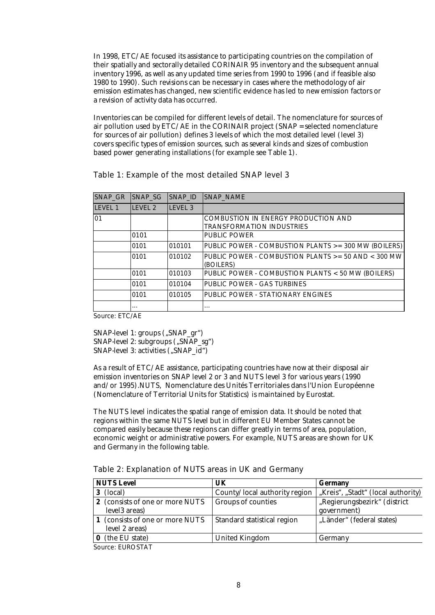In 1998, ETC/AE focused its assistance to participating countries on the compilation of their spatially and sectorally detailed CORINAIR 95 inventory and the subsequent annual inventory 1996, as well as any updated time series from 1990 to 1996 (and if feasible also 1980 to 1990). Such revisions can be necessary in cases where the methodology of air emission estimates has changed, new scientific evidence has led to new emission factors or a revision of activity data has occurred.

Inventories can be compiled for different levels of detail. The nomenclature for sources of air pollution used by  $\angle$  ETC/AE in the CORINAIR project (SNAP = selected nomenclature for sources of air pollution) defines 3 levels of which the most detailed level (level 3) covers specific types of emission sources, such as several kinds and sizes of combustion based power generating installations (for example see Table 1).

Table 1: Example of the most detailed SNAP level 3

| SNAP GR | <b>ISNAP SG</b> | SNAP_ID            | SNAP NAME                                                                      |
|---------|-----------------|--------------------|--------------------------------------------------------------------------------|
| LEVEL 1 | LEVEL 2         | LEVEL <sub>3</sub> |                                                                                |
| 01      |                 |                    | <b>COMBUSTION IN ENERGY PRODUCTION AND</b><br><b>TRANSFORMATION INDUSTRIES</b> |
|         | 0101            |                    | <b>PUBLIC POWER</b>                                                            |
|         | 0101            | 010101             | PUBLIC POWER - COMBUSTION PLANTS >= 300 MW (BOILERS)                           |
|         | 0101            | 010102             | PUBLIC POWER - COMBUSTION PLANTS $>=$ 50 AND $<$ 300 MW<br>(BOILERS)           |
|         | 0101            | 010103             | PUBLIC POWER - COMBUSTION PLANTS < 50 MW (BOILERS)                             |
|         | 0101            | 010104             | PUBLIC POWER - GAS TURBINES                                                    |
|         | 0101            | 010105             | PUBLIC POWER - STATIONARY ENGINES                                              |
|         | $\cdots$        |                    | $\cdots$                                                                       |

Source: ETC/AE

SNAP-level 1: groups ("SNAP\_gr") SNAP-level 2: subgroups ("SNAP\_sg") SNAP-level 3: activities ("SNAP\_id")

As a result of ETC/AE assistance, participating countries have now at their disposal air emission inventories on SNAP level 2 or 3 and NUTS level 3 for various years (1990 and/or 1995).NUTS, Nomenclature des Unités Territoriales dans l'Union Européenne (Nomenclature of Territorial Units for Statistics) is maintained by Eurostat.

The NUTS level indicates the spatial range of emission data. It should be noted that regions within the same NUTS level but in different EU Member States cannot be compared easily because these regions can differ greatly in terms of area, population, economic weight or administrative powers. For example, NUTS areas are shown for UK and Germany in the following table.

| Table 2: Explanation of NUTS areas in UK and Germany |  |  |  |
|------------------------------------------------------|--|--|--|
|------------------------------------------------------|--|--|--|

| <b>NUTS Level</b>                                  | UK                            | <b>Germany</b>                     |
|----------------------------------------------------|-------------------------------|------------------------------------|
| (local)<br>3.                                      | County/local authority region | "Kreis", "Stadt" (local authority) |
| 2 (consists of one or more NUTS                    | <b>Groups of counties</b>     | "Regierungsbezirk" (district       |
| level <sub>3</sub> areas)                          |                               | government)                        |
| 1 (consists of one or more NUTS)<br>level 2 areas) | Standard statistical region   | "Länder" (federal states)          |
| (the EU state)                                     | <b>United Kingdom</b>         | Germany                            |

Source: EUROSTAT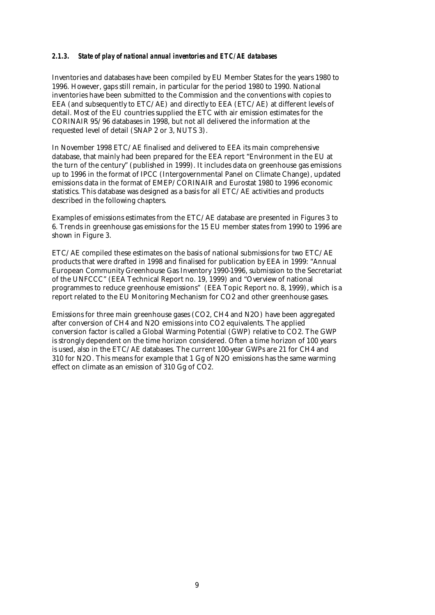#### *2.1.3. State of play of national annual inventories and ETC/AE databases*

Inventories and databases have been compiled by EU Member States for the years 1980 to 1996. However, gaps still remain, in particular for the period 1980 to 1990. National inventories have been submitted to the Commission and the conventions with copies to EEA (and subsequently to ETC/AE) and directly to EEA (ETC/AE) at different levels of detail. Most of the EU countries supplied the ETC with air emission estimates for the CORINAIR 95/96 databases in 1998, but not all delivered the information at the requested level of detail (SNAP 2 or 3, NUTS 3).

In November 1998 ETC/AE finalised and delivered to EEA its main comprehensive database, that mainly had been prepared for the EEA report "Environment in the EU at the turn of the century" (published in 1999). It includes data on greenhouse gas emissions up to 1996 in the format of IPCC (Intergovernmental Panel on Climate Change), updated emissions data in the format of EMEP/CORINAIR and Eurostat 1980 to 1996 economic statistics. This database was designed as a basis for all ETC/AE activities and products described in the following chapters.

Examples of emissions estimates from the ETC/AE database are presented in Figures 3 to 6. Trends in greenhouse gas emissions for the 15 EU member states from 1990 to 1996 are shown in Figure 3.

ETC/AE compiled these estimates on the basis of national submissions for two ETC/AE products that were drafted in 1998 and finalised for publication by EEA in 1999: "Annual European Community Greenhouse Gas Inventory 1990-1996, submission to the Secretariat of the UNFCCC" (EEA Technical Report no. 19, 1999) and "Overview of national programmes to reduce greenhouse emissions" (EEA Topic Report no. 8, 1999), which is a report related to the EU Monitoring Mechanism for CO2 and other greenhouse gases.

Emissions for three main greenhouse gases (CO2, CH4 and N2O) have been aggregated after conversion of CH4 and N2O emissions into CO2 equivalents. The applied conversion factor is called a Global Warming Potential (GWP) relative to CO2. The GWP is strongly dependent on the time horizon considered. Often a time horizon of 100 years is used, also in the ETC/AE databases. The current 100-year GWPs are 21 for CH4 and 310 for N2O. This means for example that 1 Gg of N2O emissions has the same warming effect on climate as an emission of 310 Gg of CO2.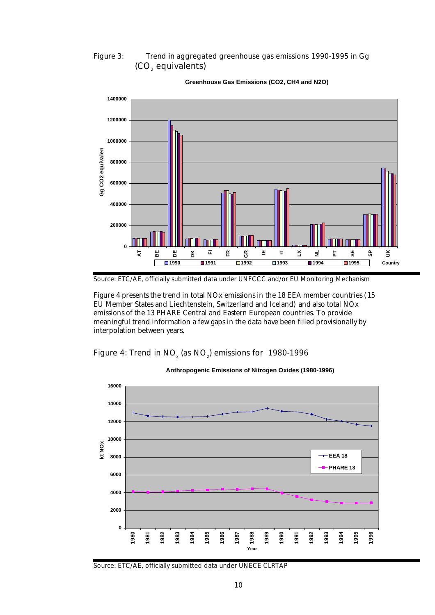#### Figure 3: Trend in aggregated greenhouse gas emissions 1990-1995 in Gg (CO $_{\tiny 2}$  equivalents)



#### **Greenhouse Gas Emissions (CO2, CH4 and N2O)**

Figure 4 presents the trend in total NOx emissions in the 18 EEA member countries (15 EU Member States and Liechtenstein, Switzerland and Iceland) and also total NOx emissions of the 13 PHARE Central and Eastern European countries. To provide meaningful trend information a few gaps in the data have been filled provisionally by interpolation between years.

Figure 4: Trend in NO<sub>x</sub> (as NO<sub>2</sub>) emissions for 1980-1996



**Anthropogenic Emissions of Nitrogen Oxides (1980-1996)**

Source: ETC/AE, officially submitted data under UNFCCC and/or EU Monitoring Mechanism

Source: ETC/AE, officially submitted data under UNECE CLRTAP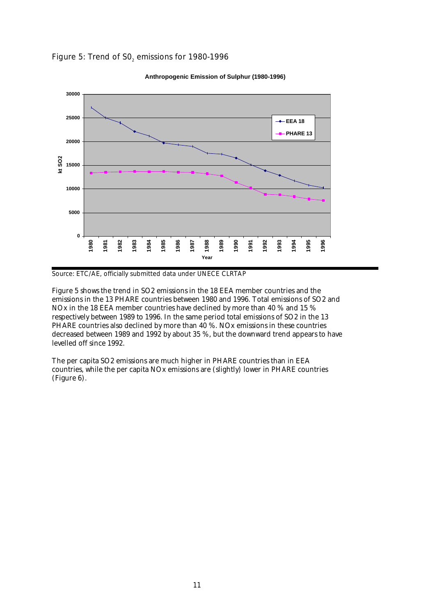



**Anthropogenic Emission of Sulphur (1980-1996)**

Source: ETC/AE, officially submitted data under UNECE CLRTAP

Figure 5 shows the trend in SO2 emissions in the 18 EEA member countries and the emissions in the 13 PHARE countries between 1980 and 1996. Total emissions of SO2 and NOx in the 18 EEA member countries have declined by more than 40 % and 15 % respectively between 1989 to 1996. In the same period total emissions of SO2 in the 13 PHARE countries also declined by more than  $40\%$ . NOx emissions in these countries decreased between 1989 and 1992 by about 35 %, but the downward trend appears to have levelled off since 1992.

The per capita SO2 emissions are much higher in PHARE countries than in EEA countries, while the per capita NOx emissions are (slightly) lower in PHARE countries (Figure 6).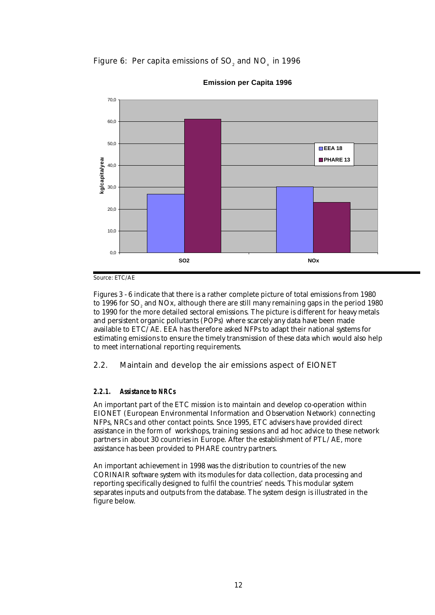Figure 6: Per capita emissions of SO $_{_2}$  and NO $_{_\mathrm{x}}$  in 1996



**Emission per Capita 1996**

Source: ETC/AE

Figures 3 - 6 indicate that there is a rather complete picture of total emissions from 1980 to 1996 for SO $_{\tiny 2}$  and NOx, although there are still many remaining gaps in the period 1980 to 1990 for the more detailed sectoral emissions. The picture is different for heavy metals and persistent organic pollutants (POPs) where scarcely any data have been made available to ETC/AE. EEA has therefore asked NFPs to adapt their national systems for estimating emissions to ensure the timely transmission of these data which would also help to meet international reporting requirements.

#### 2.2. Maintain and develop the air emissions aspect of EIONET

#### *2.2.1. Assistance to NRCs*

An important part of the ETC mission is to maintain and develop co-operation within EIONET (European Environmental Information and Observation Network) connecting NFPs, NRCs and other contact points. Snce 1995, ETC advisers have provided direct assistance in the form of workshops, training sessions and ad hoc advice to these network partners in about 30 countries in Europe. After the establishment of PTL/AE, more assistance has been provided to PHARE country partners.

An important achievement in 1998 was the distribution to countries of the new CORINAIR software system with its modules for data collection, data processing and reporting specifically designed to fulfil the countries' needs. This modular system separates inputs and outputs from the database. The system design is illustrated in the figure below.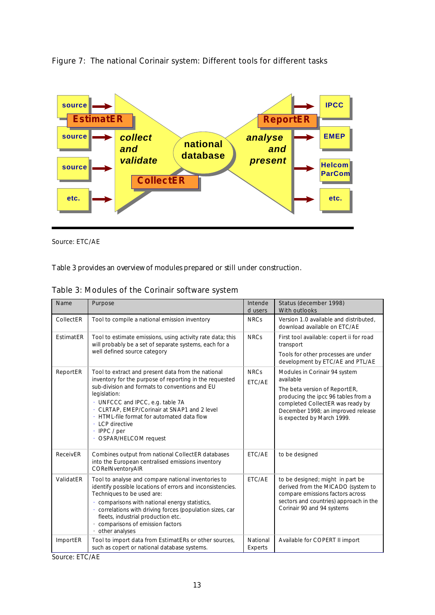

Figure 7: The national Corinair system: Different tools for different tasks

Source: ETC/AE

Table 3 provides an overview of modules prepared or still under construction.

|  |  |  |  | Table 3: Modules of the Corinair software system |  |
|--|--|--|--|--------------------------------------------------|--|
|--|--|--|--|--------------------------------------------------|--|

| Name             | Purpose                                                                                                                                                                                                                                                                                                                                                                       | Intende<br>d users    | Status (december 1998)<br><b>With outlooks</b>                                                                                                                                     |
|------------------|-------------------------------------------------------------------------------------------------------------------------------------------------------------------------------------------------------------------------------------------------------------------------------------------------------------------------------------------------------------------------------|-----------------------|------------------------------------------------------------------------------------------------------------------------------------------------------------------------------------|
| CollectER        | Tool to compile a national emission inventory                                                                                                                                                                                                                                                                                                                                 | <b>NRCs</b>           | Version 1.0 available and distributed.<br>download available on ETC/AE                                                                                                             |
| <b>EstimatER</b> | Tool to estimate emissions, using activity rate data; this<br>will probably be a set of separate systems, each for a                                                                                                                                                                                                                                                          | <b>NRCs</b>           | First tool available: copert ii for road<br>transport                                                                                                                              |
|                  | well defined source category                                                                                                                                                                                                                                                                                                                                                  |                       | Tools for other processes are under<br>development by ETC/AE and PTL/AE                                                                                                            |
| ReportER         | Tool to extract and present data from the national<br>inventory for the purpose of reporting in the requested                                                                                                                                                                                                                                                                 | <b>NRCs</b><br>ETC/AE | Modules in Corinair 94 system<br>available                                                                                                                                         |
|                  | sub-division and formats to conventions and EU<br>legislation:<br>UNFCCC and IPCC, e.g. table 7A<br>CLRTAP, EMEP/Corinair at SNAP1 and 2 level<br>HTML-file format for automated data flow<br>LCP directive<br>IPPC / per<br>OSPAR/HELCOM request                                                                                                                             |                       | The beta version of ReportER,<br>producing the ipcc 96 tables from a<br>completed CollectER was ready by<br>December 1998; an improved release<br>is expected by March 1999.       |
| ReceivER         | Combines output from national CollectER databases<br>into the European centralised emissions inventory<br>CORelNventoryAIR                                                                                                                                                                                                                                                    | ETC/AE                | to be designed                                                                                                                                                                     |
| ValidatER        | Tool to analyse and compare national inventories to<br>identify possible locations of errors and inconsistencies.<br>Techniques to be used are:<br>comparisons with national energy statistics,<br>correlations with driving forces (population sizes, car<br>$\ddot{\phantom{0}}$<br>fleets, industrial production etc.<br>comparisons of emission factors<br>other analyses | ETC/AE                | to be designed; might in part be<br>derived from the MICADO (system to<br>compare emissions factors across<br>sectors and countries) approach in the<br>Corinair 90 and 94 systems |
| <b>ImportER</b>  | Tool to import data from EstimatERs or other sources,<br>such as copert or national database systems.                                                                                                                                                                                                                                                                         | National<br>Experts   | Available for COPERT II import                                                                                                                                                     |

Source: ETC/AE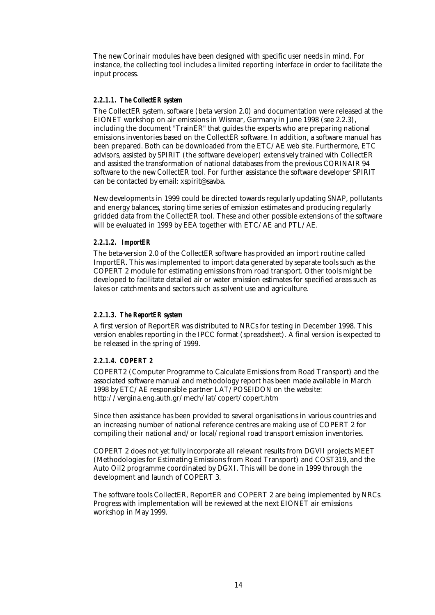The new Corinair modules have been designed with specific user needs in mind. For instance, the collecting tool includes a limited reporting interface in order to facilitate the input process.

#### *2.2.1.1. The CollectER system*

The CollectER system, software (beta version 2.0) and documentation were released at the EIONET workshop on air emissions in Wismar, Germany in June 1998 (see 2.2.3), including the document "TrainER" that guides the experts who are preparing national emissions inventories based on the CollectER software. In addition, a software manual has been prepared. Both can be downloaded from the ETC/AE web site. Furthermore, ETC advisors, assisted by SPIRIT (the software developer) extensively trained with CollectER and assisted the transformation of national databases from the previous CORINAIR 94 software to the new CollectER tool. For further assistance the software developer SPIRIT can be contacted by email: xspirit@savba.

New developments in 1999 could be directed towards regularly updating SNAP, pollutants and energy balances, storing time series of emission estimates and producing regularly gridded data from the CollectER tool. These and other possible extensions of the software will be evaluated in 1999 by EEA together with ETC/AE and PTL/AE.

#### *2.2.1.2. ImportER*

The beta-version 2.0 of the CollectER software has provided an import routine called ImportER. This was implemented to import data generated by separate tools such as the COPERT 2 module for estimating emissions from road transport. Other tools might be developed to facilitate detailed air or water emission estimates for specified areas such as lakes or catchments and sectors such as solvent use and agriculture.

#### *2.2.1.3. The ReportER system*

A first version of ReportER was distributed to NRCs for testing in December 1998. This version enables reporting in the IPCC format (spreadsheet). A final version is expected to be released in the spring of 1999.

#### *2.2.1.4. COPERT 2*

COPERT2 (Computer Programme to Calculate Emissions from Road Transport) and the associated software manual and methodology report has been made available in March 1998 by ETC/AE responsible partner LAT/POSEIDON on the website: http://vergina.eng.auth.gr/mech/lat/copert/copert.htm

Since then assistance has been provided to several organisations in various countries and an increasing number of national reference centres are making use of COPERT 2 for compiling their national and/or local/regional road transport emission inventories.

COPERT 2 does not yet fully incorporate all relevant results from DGVII projects MEET (Methodologies for Estimating Emissions from Road Transport) and COST319, and the Auto Oil2 programme coordinated by DGXI. This will be done in 1999 through the development and launch of COPERT 3.

The software tools CollectER, ReportER and COPERT 2 are being implemented by NRCs. Progress with implementation will be reviewed at the next EIONET air emissions workshop in May 1999.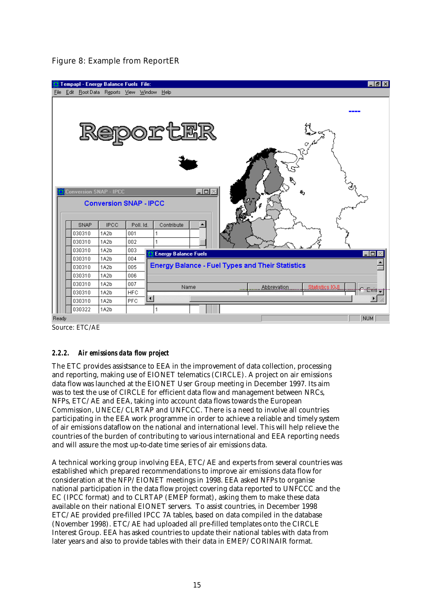|             | Tempapl - Energy Balance Fuels File:   |                               |            |                                                         | $  E  \times$ |
|-------------|----------------------------------------|-------------------------------|------------|---------------------------------------------------------|---------------|
| <b>File</b> | Edit RootData Reports View Window Help |                               |            |                                                         |               |
|             |                                        |                               |            | ReportER                                                |               |
|             |                                        |                               |            |                                                         |               |
|             |                                        |                               |            |                                                         |               |
|             | <b>Conversion SNAP - IPCC</b>          |                               |            | $\Box$                                                  |               |
|             |                                        | <b>Conversion SNAP - IPCC</b> |            |                                                         |               |
|             | SNAP                                   | <b>IPCC</b>                   | Poll, Id.  | Contribute                                              |               |
|             | 030310                                 | 1A2b                          | 001        |                                                         |               |
|             | 030310                                 | 1A2b                          | 002        | 1                                                       |               |
|             | 030310                                 | 1A2b                          | 003        | <b>Energy Balance Fuels</b>                             | -10           |
|             | 030310                                 | 1A2b                          | 004        |                                                         |               |
|             | 030310                                 | 1A2b                          | 005        | <b>Energy Balance - Fuel Types and Their Statistics</b> |               |
|             | 030310                                 | 1A2b                          | 006        |                                                         |               |
|             | 030310                                 | 1A2b                          | 007        | Name<br>Abbrevation<br><b>Statistics [GJ]</b>           |               |
|             | 030310                                 | 1A2b                          | <b>HFC</b> |                                                         | Exis          |
|             | 030310                                 | 1A2b                          | <b>PFC</b> | $\blacksquare$                                          |               |
|             | 030322                                 | 1A2b                          |            |                                                         |               |
| Ready       |                                        |                               |            |                                                         | <b>NUM</b>    |

#### Figure 8: Example from ReportER

Source: ETC/AE

#### *2.2.2. Air emissions data flow project*

The ETC provides assistsance to EEA in the improvement of data collection, processing and reporting, making use of EIONET telematics (CIRCLE). A project on air emissions data flow was launched at the EIONET User Group meeting in December 1997. Its aim was to test the use of CIRCLE for efficient data flow and management between NRCs, NFPs, ETC/AE and EEA, taking into account data flows towards the European Commission, UNECE/CLRTAP and UNFCCC. There is a need to involve all countries participating in the EEA work programme in order to achieve a reliable and timely system of air emissions dataflow on the national and international level. This will help relieve the countries of the burden of contributing to various international and EEA reporting needs and will assure the most up-to-date time series of air emissions data.

A technical working group involving EEA, ETC/AE and experts from several countries was established which prepared recommendations to improve air emissions data flow for consideration at the NFP/EIONET meetings in 1998. EEA asked NFPs to organise national participation in the data flow project covering data reported to UNFCCC and the EC (IPCC format) and to CLRTAP (EMEP format), asking them to make these data available on their national EIONET servers. To assist countries, in December 1998 ETC/AE provided pre-filled IPCC 7A tables, based on data compiled in the database (November 1998). ETC/AE had uploaded all pre-filled templates onto the CIRCLE Interest Group. EEA has asked countries to update their national tables with data from later years and also to provide tables with their data in EMEP/CORINAIR format.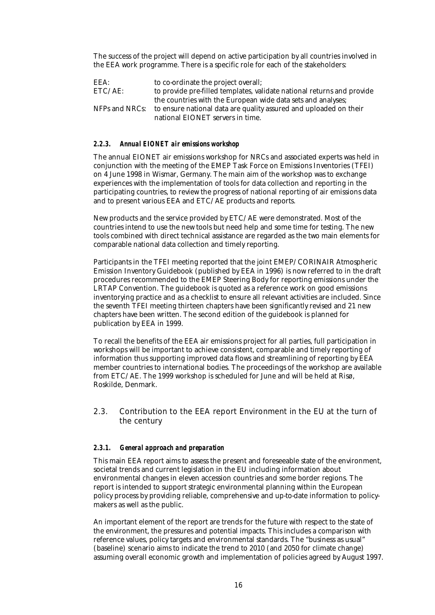The success of the project will depend on active participation by all countries involved in the EEA work programme. There is a specific role for each of the stakeholders:

EEA: to co-ordinate the project overall;<br>ETC/AE: to provide pre-filled templates, values to provide pre-filled templates, validate national returns and provide the countries with the European wide data sets and analyses; NFPs and NRCs: to ensure national data are quality assured and uploaded on their national EIONET servers in time.

#### *2.2.3. Annual EIONET air emissions workshop*

The annual EIONET air emissions workshop for NRCs and associated experts was held in conjunction with the meeting of the EMEP Task Force on Emissions Inventories (TFEI) on 4 June 1998 in Wismar, Germany. The main aim of the workshop was to exchange experiences with the implementation of tools for data collection and reporting in the participating countries, to review the progress of national reporting of air emissions data and to present various EEA and ETC/AE products and reports.

New products and the service provided by ETC/AE were demonstrated. Most of the countries intend to use the new tools but need help and some time for testing. The new tools combined with direct technical assistance are regarded as the two main elements for comparable national data collection and timely reporting.

Participants in the TFEI meeting reported that the joint EMEP/CORINAIR Atmospheric Emission Inventory Guidebook (published by EEA in 1996) is now referred to in the draft procedures recommended to the EMEP Steering Body for reporting emissions under the LRTAP Convention. The guidebook is quoted as a reference work on good emissions inventorying practice and as a checklist to ensure all relevant activities are included. Since the seventh TFEI meeting thirteen chapters have been significantly revised and 21 new chapters have been written. The second edition of the guidebook is planned for publication by EEA in 1999.

To recall the benefits of the EEA air emissions project for all parties, full participation in workshops will be important to achieve consistent, comparable and timely reporting of information thus supporting improved data flows and streamlining of reporting by EEA member countries to international bodies. The proceedings of the workshop are available from ETC/AE. The 1999 workshop is scheduled for June and will be held at Risø, Roskilde, Denmark.

#### 2.3. Contribution to the EEA report Environment in the EU at the turn of the century

#### *2.3.1. General approach and preparation*

This main EEA report aims to assess the present and foreseeable state of the environment, societal trends and current legislation in the EU including information about environmental changes in eleven accession countries and some border regions. The report is intended to support strategic environmental planning within the European policy process by providing reliable, comprehensive and up-to-date information to policymakers as well as the public.

An important element of the report are trends for the future with respect to the state of the environment, the pressures and potential impacts. This includes a comparison with reference values, policy targets and environmental standards. The "business as usual" (baseline) scenario aims to indicate the trend to 2010 (and 2050 for climate change) assuming overall economic growth and implementation of policies agreed by August 1997.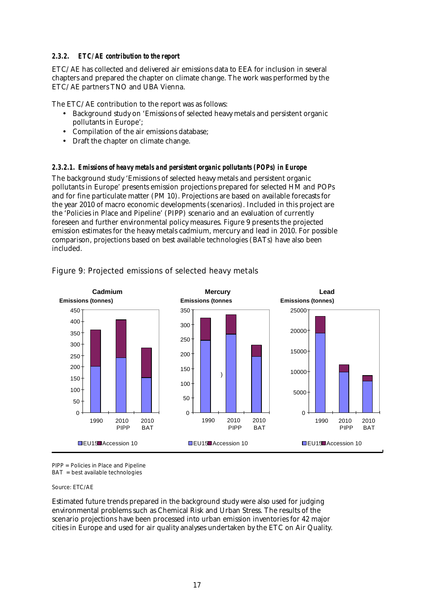#### *2.3.2. ETC/AE contribution to the report*

ETC/AE has collected and delivered air emissions data to EEA for inclusion in several chapters and prepared the chapter on climate change. The work was performed by the ETC/AE partners TNO and UBA Vienna.

The ETC/AE contribution to the report was as follows:

- Background study on 'Emissions of selected heavy metals and persistent organic pollutants in Europe';
- Compilation of the air emissions database;
- Draft the chapter on climate change.

#### *2.3.2.1. Emissions of heavy metals and persistent organic pollutants (POPs) in Europe*

The background study 'Emissions of selected heavy metals and persistent organic pollutants in Europe' presents emission projections prepared for selected HM and POPs and for fine particulate matter (PM 10). Projections are based on available forecasts for the year 2010 of macro economic developments (scenarios). Included in this project are the 'Policies in Place and Pipeline' (PIPP) scenario and an evaluation of currently foreseen and further environmental policy measures. Figure 9 presents the projected emission estimates for the heavy metals cadmium, mercury and lead in 2010. For possible comparison, projections based on best available technologies (BATs) have also been included.



#### Figure 9: Projected emissions of selected heavy metals

PIPP = Policies in Place and Pipeline

BAT = best available technologies

Source: ETC/AE

Estimated future trends prepared in the background study were also used for judging environmental problems such as Chemical Risk and Urban Stress. The results of the scenario projections have been processed into urban emission inventories for 42 major cities in Europe and used for air quality analyses undertaken by the ETC on Air Quality.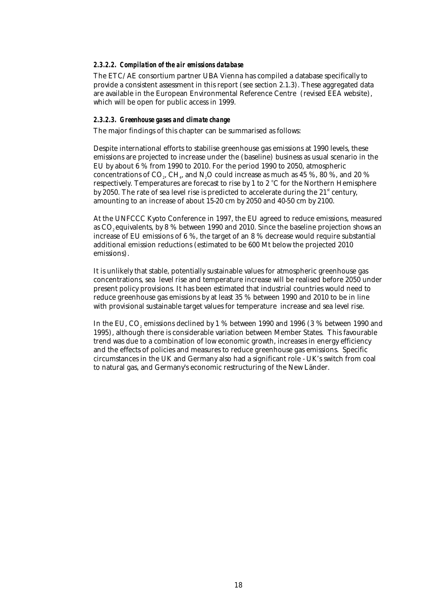#### *2.3.2.2. Compilation of the air emissions database*

The ETC/AE consortium partner UBA Vienna has compiled a database specifically to provide a consistent assessment in this report (see section 2.1.3). These aggregated data are available in the European Environmental Reference Centre (revised EEA website), which will be open for public access in 1999.

#### *2.3.2.3. Greenhouse gases and climate change*

The major findings of this chapter can be summarised as follows:

Despite international efforts to stabilise greenhouse gas emissions at 1990 levels, these emissions are projected to increase under the (baseline) business as usual scenario in the EU by about 6 % from 1990 to 2010. For the period 1990 to 2050, atmospheric concentrations of CO $_{\textrm{\tiny{2}}}$ , CH $_{\textrm{\tiny{4}}}$ , and N $_{\textrm{\tiny{2}}}$ O could increase as much as 45 %, 80 %, and 20 % respectively. Temperatures are forecast to rise by 1 to 2 °C for the Northern Hemisphere by 2050. The rate of sea level rise is predicted to accelerate during the  $21<sup>st</sup>$  century, amounting to an increase of about 15-20 cm by 2050 and 40-50 cm by 2100.

At the UNFCCC Kyoto Conference in 1997, the EU agreed to reduce emissions, measured as  $CO<sub>s</sub>$  equivalents, by 8 % between 1990 and 2010. Since the baseline projection shows an increase of EU emissions of 6 %, the target of an 8 % decrease would require substantial additional emission reductions (estimated to be 600 Mt below the projected 2010 emissions).

It is unlikely that stable, potentially sustainable values for atmospheric greenhouse gas concentrations, sea level rise and temperature increase will be realised before 2050 under present policy provisions. It has been estimated that industrial countries would need to reduce greenhouse gas emissions by at least 35 % between 1990 and 2010 to be in line with provisional sustainable target values for temperature increase and sea level rise.

In the EU, CO $_{\tiny 2}$  emissions declined by 1 % between 1990 and 1996 (3 % between 1990 and 1995), although there is considerable variation between Member States. This favourable trend was due to a combination of low economic growth, increases in energy efficiency and the effects of policies and measures to reduce greenhouse gas emissions. Specific circumstances in the UK and Germany also had a significant role - UK's switch from coal to natural gas, and Germany's economic restructuring of the New Länder.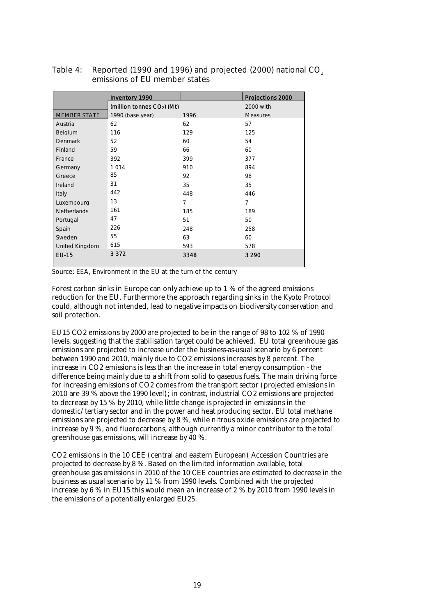|                       | <b>Inventory 1990</b>        |                | Projections 2000 |
|-----------------------|------------------------------|----------------|------------------|
|                       | (million tonnes $CO2$ ) (Mt) |                | 2000 with        |
| <b>MEMBER STATE</b>   | 1990 (base year)             | 1996           | <b>Measures</b>  |
| Austria               | 62                           | 62             | 57               |
| Belgium               | 116                          | 129            | 125              |
| <b>Denmark</b>        | 52                           | 60             | 54               |
| Finland               | 59                           | 66             | 60               |
| France                | 392                          | 399            | 377              |
| Germany               | 1014                         | 910            | 894              |
| Greece                | 85                           | 92             | 98               |
| Ireland               | 31                           | 35             | 35               |
| Italy                 | 442                          | 448            | 446              |
| Luxembourg            | 13                           | $\overline{7}$ | $\overline{7}$   |
| <b>Netherlands</b>    | 161                          | 185            | 189              |
| Portugal              | 47                           | 51             | 50               |
| Spain                 | 226                          | 248            | 258              |
| Sweden                | 55                           | 63             | 60               |
| <b>United Kingdom</b> | 615                          | 593            | 578              |
| <b>EU-15</b>          | 3 3 7 2                      | 3348           | 3 2 9 0          |

#### Table 4: Reported (1990 and 1996) and projected (2000) national CO<sub>2</sub> emissions of EU member states

Source: EEA, Environment in the EU at the turn of the century

Forest carbon sinks in Europe can only achieve up to 1 % of the agreed emissions reduction for the EU. Furthermore the approach regarding sinks in the Kyoto Protocol could, although not intended, lead to negative impacts on biodiversity conservation and soil protection.

EU15 CO2 emissions by 2000 are projected to be in the range of 98 to 102 % of 1990 levels, suggesting that the stabilisation target could be achieved. EU total greenhouse gas emissions are projected to increase under the business-as-usual scenario by 6 percent between 1990 and 2010, mainly due to CO2 emissions increases by 8 percent. The increase in CO2 emissions is less than the increase in total energy consumption - the difference being mainly due to a shift from solid to gaseous fuels. The main driving force for increasing emissions of CO2 comes from the transport sector (projected emissions in 2010 are 39 % above the 1990 level); in contrast, industrial CO2 emissions are projected to decrease by 15 % by 2010, while little change is projected in emissions in the domestic/tertiary sector and in the power and heat producing sector. EU total methane emissions are projected to decrease by 8 %, while nitrous oxide emissions are projected to increase by 9 %, and fluorocarbons, although currently a minor contributor to the total greenhouse gas emissions, will increase by 40 %.

CO2 emissions in the 10 CEE (central and eastern European) Accession Countries are projected to decrease by 8 %. Based on the limited information available, total greenhouse gas emissions in 2010 of the 10 CEE countries are estimated to decrease in the business as usual scenario by 11 % from 1990 levels. Combined with the projected increase by 6 % in EU15 this would mean an increase of 2 % by 2010 from 1990 levels in the emissions of a potentially enlarged EU25.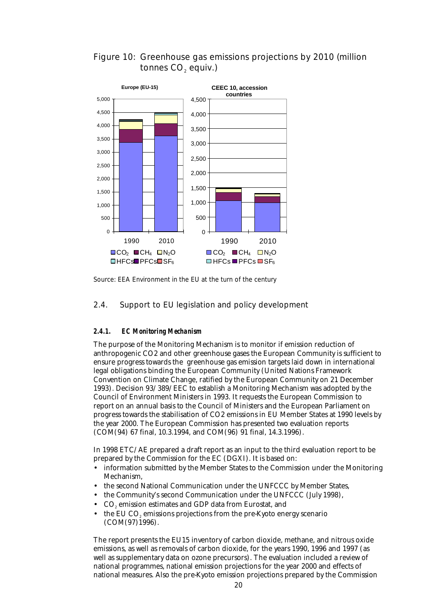



Source: EEA Environment in the EU at the turn of the century

#### 2.4. Support to EU legislation and policy development

#### *2.4.1. EC Monitoring Mechanism*

The purpose of the Monitoring Mechanism is to monitor if emission reduction of anthropogenic CO2 and other greenhouse gases the European Community is sufficient to ensure progress towards the greenhouse gas emission targets laid down in international legal obligations binding the European Community (United Nations Framework Convention on Climate Change, ratified by the European Community on 21 December 1993). Decision 93/389/EEC to establish a Monitoring Mechanism was adopted by the Council of Environment Ministers in 1993. It requests the European Commission to report on an annual basis to the Council of Ministers and the European Parliament on progress towards the stabilisation of CO2 emissions in EU Member States at 1990 levels by the year 2000. The European Commission has presented two evaluation reports (COM(94) 67 final, 10.3.1994, and COM(96) 91 final, 14.3.1996).

In 1998 ETC/AE prepared a draft report as an input to the third evaluation report to be prepared by the Commission for the EC (DGXI). It is based on:

- information submitted by the Member States to the Commission under the Monitoring Mechanism,
- the second National Communication under the UNFCCC by Member States,
- the Community's second Communication under the UNFCCC (July 1998),
- $\bullet$   $\cdot$  CO<sub>2</sub> emission estimates and GDP data from Eurostat, and
- $\bullet$  the EU CO<sub>2</sub> emissions projections from the pre-Kyoto energy scenario (COM(97)1996).

The report presents the EU15 inventory of carbon dioxide, methane, and nitrous oxide emissions, as well as removals of carbon dioxide, for the years 1990, 1996 and 1997 (as well as supplementary data on ozone precursors). The evaluation included a review of national programmes, national emission projections for the year 2000 and effects of national measures. Also the pre-Kyoto emission projections prepared by the Commission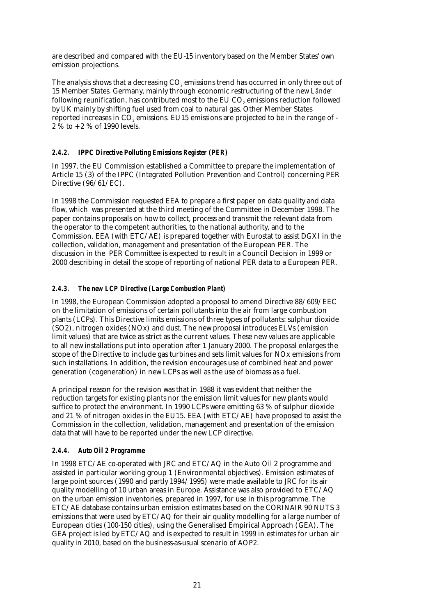are described and compared with the EU-15 inventory based on the Member States' own emission projections.

The analysis shows that a decreasing CO<sub>2</sub> emissions trend has occurred in only three out of 15 Member States. Germany, mainly through economic restructuring of the new *Länder* following reunification, has contributed most to the EU CO $_{\tiny 2}$  emissions reduction followed by UK mainly by shifting fuel used from coal to natural gas. Other Member States reported increases in CO $_{\tiny 2}$  emissions. EU15 emissions are projected to be in the range of -2 % to + 2 % of 1990 levels.

#### *2.4.2. IPPC Directive Polluting Emissions Register (PER)*

In 1997, the EU Commission established a Committee to prepare the implementation of Article 15 (3) of the IPPC (Integrated Pollution Prevention and Control) concerning PER Directive (96/61/EC).

In 1998 the Commission requested EEA to prepare a first paper on data quality and data flow, which was presented at the third meeting of the Committee in December 1998. The paper contains proposals on how to collect, process and transmit the relevant data from the operator to the competent authorities, to the national authority, and to the Commission. EEA (with ETC/AE) is prepared together with Eurostat to assist DGXI in the collection, validation, management and presentation of the European PER. The discussion in the PER Committee is expected to result in a Council Decision in 1999 or 2000 describing in detail the scope of reporting of national PER data to a European PER.

#### *2.4.3. The new LCP Directive (Large Combustion Plant)*

In 1998, the European Commission adopted a proposal to amend Directive 88/609/EEC on the limitation of emissions of certain pollutants into the air from large combustion plants (LCPs). This Directive limits emissions of three types of pollutants: sulphur dioxide (SO2), nitrogen oxides (NOx) and dust. The new proposal introduces ELVs (emission limit values) that are twice as strict as the current values. These new values are applicable to all new installations put into operation after 1 January 2000. The proposal enlarges the scope of the Directive to include gas turbines and sets limit values for NOx emissions from such installations. In addition, the revision encourages use of combined heat and power generation (cogeneration) in new LCPs as well as the use of biomass as a fuel.

A principal reason for the revision was that in 1988 it was evident that neither the reduction targets for existing plants nor the emission limit values for new plants would suffice to protect the environment. In 1990 LCPs were emitting 63 % of sulphur dioxide and 21 % of nitrogen oxides in the EU15. EEA (with ETC/AE) have proposed to assist the Commission in the collection, validation, management and presentation of the emission data that will have to be reported under the new LCP directive.

#### *2.4.4. Auto Oil 2 Programme*

In 1998 ETC/AE co-operated with JRC and ETC/AQ in the Auto Oil 2 programme and assisted in particular working group 1 (Environmental objectives). Emission estimates of large point sources (1990 and partly 1994/1995) were made available to JRC for its air quality modelling of 10 urban areas in Europe. Assistance was also provided to ETC/AQ on the urban emission inventories, prepared in 1997, for use in this programme. The ETC/AE database contains urban emission estimates based on the CORINAIR 90 NUTS 3 emissions that were used by ETC/AQ for their air quality modelling for a large number of European cities (100-150 cities), using the Generalised Empirical Approach (GEA). The GEA project is led by ETC/AQ and is expected to result in 1999 in estimates for urban air quality in 2010, based on the business-as-usual scenario of AOP2.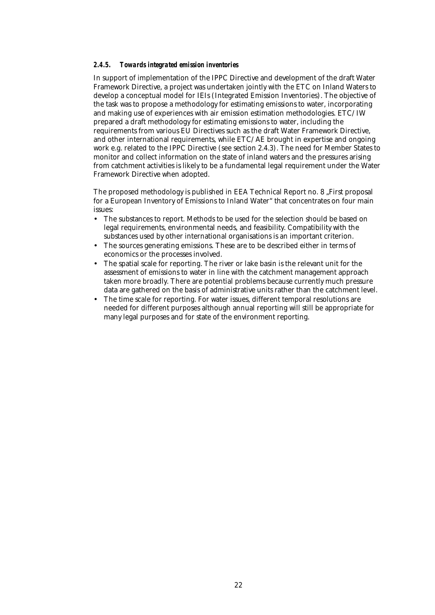#### *2.4.5. Towards integrated emission inventories*

In support of implementation of the IPPC Directive and development of the draft Water Framework Directive, a project was undertaken jointly with the ETC on Inland Waters to develop a conceptual model for IEIs (Integrated Emission Inventories). The objective of the task was to propose a methodology for estimating emissions to water, incorporating and making use of experiences with air emission estimation methodologies. ETC/IW prepared a draft methodology for estimating emissions to water, including the requirements from various EU Directives such as the draft Water Framework Directive, and other international requirements, while ETC/AE brought in expertise and ongoing work e.g. related to the IPPC Directive (see section 2.4.3). The need for Member States to monitor and collect information on the state of inland waters and the pressures arising from catchment activities is likely to be a fundamental legal requirement under the Water Framework Directive when adopted.

The proposed methodology is published in EEA Technical Report no. 8 "First proposal" for a European Inventory of Emissions to Inland Water" that concentrates on four main issues:

- The substances to report. Methods to be used for the selection should be based on legal requirements, environmental needs, and feasibility. Compatibility with the substances used by other international organisations is an important criterion.
- The sources generating emissions. These are to be described either in terms of economics or the processes involved.
- The spatial scale for reporting. The river or lake basin is the relevant unit for the assessment of emissions to water in line with the catchment management approach taken more broadly. There are potential problems because currently much pressure data are gathered on the basis of administrative units rather than the catchment level.
- The time scale for reporting. For water issues, different temporal resolutions are needed for different purposes although annual reporting will still be appropriate for many legal purposes and for state of the environment reporting.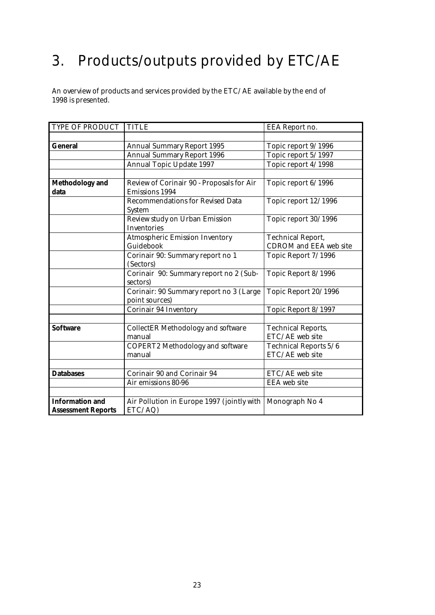## 3. Products/outputs provided by ETC/AE

An overview of products and services provided by the ETC/AE available by the end of 1998 is presented.

| TYPE OF PRODUCT           | <b>TITLE</b>                                              | EEA Report no.                |
|---------------------------|-----------------------------------------------------------|-------------------------------|
|                           |                                                           |                               |
| <b>General</b>            | <b>Annual Summary Report 1995</b>                         | Topic report 9/1996           |
|                           | <b>Annual Summary Report 1996</b>                         | Topic report 5/1997           |
|                           | <b>Annual Topic Update 1997</b>                           | Topic report 4/1998           |
|                           |                                                           |                               |
| <b>Methodology</b> and    | Review of Corinair 90 - Proposals for Air                 | Topic report 6/1996           |
| data                      | <b>Emissions 1994</b>                                     |                               |
|                           | <b>Recommendations for Revised Data</b><br><b>System</b>  | Topic report 12/1996          |
|                           | Review study on Urban Emission<br><b>Inventories</b>      | Topic report 30/1996          |
|                           | <b>Atmospheric Emission Inventory</b>                     | <b>Technical Report,</b>      |
|                           | Guidebook                                                 | <b>CDROM</b> and EEA web site |
|                           | Corinair 90: Summary report no 1<br>(Sectors)             | Topic Report 7/1996           |
|                           | Corinair 90: Summary report no 2 (Sub-<br>sectors)        | Topic Report 8/1996           |
|                           | Corinair: 90 Summary report no 3 (Large<br>point sources) | Topic Report 20/1996          |
|                           | <b>Corinair 94 Inventory</b>                              | Topic Report 8/1997           |
|                           |                                                           |                               |
| <b>Software</b>           | <b>CollectER Methodology and software</b>                 | <b>Technical Reports,</b>     |
|                           | manual                                                    | ETC/AE web site               |
|                           | <b>COPERT2 Methodology and software</b>                   | Technical Reports 5/6         |
|                           | manual                                                    | ETC/AE web site               |
|                           |                                                           |                               |
| <b>Databases</b>          | Corinair 90 and Corinair 94                               | ETC/AE web site               |
|                           | Air emissions 80-96                                       | <b>EEA</b> web site           |
|                           |                                                           |                               |
| <b>Information and</b>    | Air Pollution in Europe 1997 (jointly with                | Monograph No 4                |
| <b>Assessment Reports</b> | ETC/AQ)                                                   |                               |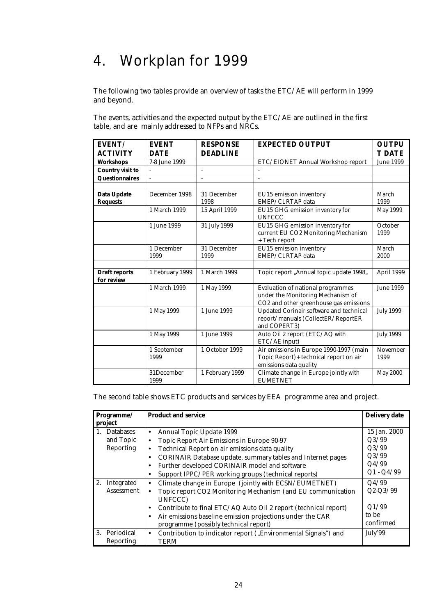## 4. Workplan for 1999

The following two tables provide an overview of tasks the ETC/AE will perform in 1999 and beyond.

The events, activities and the expected output by the ETC/AE are outlined in the first table, and are mainly addressed to NFPs and NRCs.

| EVENT/                             | <b>EVENT</b>        | <b>RESPONSE</b>     | <b>EXPECTED OUTPUT</b>                                                                                                  | <b>OUTPU</b>     |
|------------------------------------|---------------------|---------------------|-------------------------------------------------------------------------------------------------------------------------|------------------|
| <b>ACTIVITY</b>                    | <b>DATE</b>         | <b>DEADLINE</b>     |                                                                                                                         | <b>T DATE</b>    |
| <b>Workshops</b>                   | 7-8 June 1999       |                     | ETC/EIONET Annual Workshop report                                                                                       | <b>June 1999</b> |
| <b>Country visit to</b>            |                     |                     |                                                                                                                         |                  |
| <b>Questionnaires</b>              |                     |                     |                                                                                                                         |                  |
|                                    |                     |                     |                                                                                                                         |                  |
| Data Update                        | December 1998       | 31 December         | EU15 emission inventory                                                                                                 | March            |
| <b>Requests</b>                    |                     | 1998                | EMEP/CLRTAP data                                                                                                        | 1999             |
|                                    | 1 March 1999        | 15 April 1999       | EU15 GHG emission inventory for<br><b>UNFCCC</b>                                                                        | <b>May 1999</b>  |
|                                    | 1 June 1999         | 31 July 1999        | EU15 GHG emission inventory for<br>current EU CO2 Monitoring Mechanism<br>+ Tech report                                 | October<br>1999  |
|                                    | 1 December<br>1999  | 31 December<br>1999 | EU15 emission inventory<br>EMEP/CLRTAP data                                                                             | March<br>2000    |
| <b>Draft reports</b><br>for review | 1 February 1999     | 1 March 1999        | Topic report "Annual topic update 1998,                                                                                 | April 1999       |
|                                    | 1 March 1999        | 1 May 1999          | <b>Evaluation of national programmes</b><br>under the Monitoring Mechanism of<br>CO2 and other greenhouse gas emissions | <b>June 1999</b> |
|                                    | 1 May 1999          | 1 June 1999         | Updated Corinair software and technical<br>report/manuals (CollectER/ReportER<br>and COPERT3)                           | <b>July 1999</b> |
|                                    | 1 May 1999          | 1 June 1999         | Auto Oil 2 report (ETC/AQ with<br>ETC/AE input)                                                                         | <b>July 1999</b> |
|                                    | 1 September<br>1999 | 1 October 1999      | Air emissions in Europe 1990-1997 (main<br>Topic Report)+ technical report on air<br>emissions data quality             | November<br>1999 |
|                                    | 31December<br>1999  | 1 February 1999     | Climate change in Europe jointly with<br><b>EUMETNET</b>                                                                | <b>May 2000</b>  |

The second table shows ETC products and services by EEA programme area and project.

| Programme/ |                                                            | <b>Product and service</b>                                                      | <b>Delivery date</b> |  |  |
|------------|------------------------------------------------------------|---------------------------------------------------------------------------------|----------------------|--|--|
| project    |                                                            |                                                                                 |                      |  |  |
|            | 1. Databases                                               | Annual Topic Update 1999<br>$\bullet$                                           | 15 Jan. 2000         |  |  |
|            | and Topic                                                  | Topic Report Air Emissions in Europe 90-97<br>$\bullet$                         | Q3/99                |  |  |
|            | Reporting                                                  | Technical Report on air emissions data quality<br>$\bullet$                     | Q3/99                |  |  |
|            |                                                            | <b>CORINAIR Database update, summary tables and Internet pages</b><br>$\bullet$ | Q3/99                |  |  |
|            | Further developed CORINAIR model and software<br>$\bullet$ |                                                                                 |                      |  |  |
|            |                                                            | Support IPPC/PER working groups (technical reports)<br>٠                        | $Q1 - Q4/99$         |  |  |
|            | 2. Integrated                                              | Climate change in Europe (jointly with ECSN/EUMETNET)<br>$\bullet$              | Q4/99                |  |  |
|            | Assessment                                                 | Topic report CO2 Monitoring Mechanism (and EU communication                     | $Q2-Q3/99$           |  |  |
|            |                                                            | UNFCCC)                                                                         |                      |  |  |
|            |                                                            | Contribute to final ETC/AQ Auto Oil 2 report (technical report)<br>$\bullet$    | Q1/99                |  |  |
|            |                                                            | Air emissions baseline emission projections under the CAR<br>$\bullet$          | to be                |  |  |
|            |                                                            | programme (possibly technical report)                                           | confirmed            |  |  |
|            | 3. Periodical                                              | Contribution to indicator report ("Environmental Signals") and<br>$\bullet$     | July'99              |  |  |
|            | Reporting                                                  | <b>TERM</b>                                                                     |                      |  |  |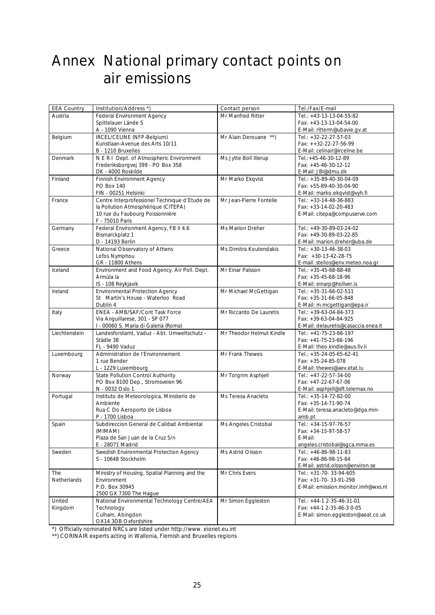### Annex National primary contact points on air emissions

| <b>EEA Country</b> | Institution/Address *)                          | Contact person           | Tel./Fax/E-mail                            |
|--------------------|-------------------------------------------------|--------------------------|--------------------------------------------|
| Austria            | <b>Federal Environment Agency</b>               | Mr Manfred Ritter        | Tel.: +43-13-13-04-55-82                   |
|                    | Spittelauer Lände 5                             |                          | Fax: +43-13-13-04-54-00                    |
|                    | A - 1090 Vienna                                 |                          | E-Mail: ritterm@ubavie.gv.at               |
| Belgium            | IRCEL/CELINE (NFP-Belgium)                      | Mr Alain Derouane **)    | Tel.: +32-22-27-57-03                      |
|                    | Kunstlaan-Avenue des Arts 10/11                 |                          | Fax: ++32-22-27-56-99                      |
|                    | B - 1210 Bruxelles                              |                          | E-Mail: celinair@irceline.be               |
| Denmark            | N E R I Dept. of Atmospheric Environment        | Ms Jytte Boll Illerup    | Tel.:+45-46-30-12-89                       |
|                    | Frederiksborgvej 399 - PO Box 358               |                          | Fax: +45-46-30-12-12                       |
|                    | DK - 4000 Roskilde                              |                          | E-Mail: JBI@dmu.dk                         |
| Finland            | <b>Finnish Environment Agency</b>               | Mr Marko Ekqvist         | Tel.: +35-89-40-30-04-09                   |
|                    | PO Box 140                                      |                          | Fax: +55-89-40-30-04-90                    |
|                    | FIN - 00251 Helsinki                            |                          | E-Mail: marko.ekqvist@vyh.fi               |
| France             | Centre Interprofessionel Technique d'Etude de   | Mr Jean-Pierre Fontelle  | Tel.: +33-14-48-36-883                     |
|                    | la Pollution Atmosphérique (CITEPA)             |                          | Fax: +33-14-02-20-483                      |
|                    | 10 rue du Faubourg Poissonnière                 |                          | E-Mail: citepa@compuserve.com              |
|                    | F - 75010 Paris                                 |                          |                                            |
| Germany            | Federal Environment Agency, FB II 4.6           | Ms Marion Dreher         | Tel.: +49-30-89-03-24-02                   |
|                    | Bismarckplatz 1                                 |                          | Fax: +49-30-89-03-22-85                    |
|                    | D - 14193 Berlin                                |                          | E-Mail: marion.dreher@uba.de               |
| Greece             | National Observatory of Athens                  | Ms Dimitra Koutendakis   | Tel.: +30-13-46-38-03                      |
|                    | Lofos Nymphou                                   |                          | Fax: +30-13-42-28-75                       |
|                    | GR - 11800 Athens                               |                          | E-mail: stelios@env.meteo.noa.gr           |
| Iceland            | Environment and Food Agency, Air Poll. Dept.    | Mr Einar Palsson         | Tel.: +35-45-68-88-48                      |
|                    | Àrmúla la                                       |                          | Fax: +35-45-68-18-96                       |
|                    | IS - 108 Reykjavik                              |                          | E-Mail: einarp@hollver.is                  |
| Ireland            | <b>Environmental Protection Agency</b>          | Mr Michael McGettigan    | Tel.: +35-31-66-02-511                     |
|                    | St Martin's House - Waterloo Road               |                          | Fax: +35-31-66-05-848                      |
|                    | Dublin 4                                        |                          | E-Mail: m.mcgettigan@epa.ir                |
| Italy              | ENEA - AMB/SAF/Cont Task Force                  | Mr Riccardo De Lauretis  | Tel.: +39-63-04-84-373                     |
|                    | Via Anguillarese, 301 - SP 077                  |                          | Fax: +39-63-04-84-925                      |
|                    | I - 00060 S. Maria di Galeria (Roma)            |                          | E-Mail: delauretis@casaccia.enea.it        |
| Liechtenstein      | Landesforstamt, Vaduz - Abt. Umweltschutz -     | Mr Theodor Helmut Kindle | Tel.: +41-75-23-66-197                     |
|                    | Städle 38                                       |                          | Fax: +41-75-23-66-196                      |
|                    | FL - 9490 Vaduz                                 |                          | E-Mail: theo.kindle@aus.llv.li             |
| Luxembourg         | Administration de l'Environnement               | Mr Frank Thewes          | Tel.: +35-24-05-65-62-41                   |
|                    | 1 rue Bender                                    |                          | Fax: +35-24-85-078                         |
|                    | L - 1229 Luxembourg                             |                          | E-Mail: thewes@aev.etat.lu                 |
| Norway             | State Pollution Control Authority               | Mr Torgrim Asphjell      | Tel.: +47-22-57-34-00                      |
|                    | PO Box 8100 Dep., Stromsveien 96                |                          | Fax: +47-22-67-67-06                       |
|                    | N - 0032 Oslo 1                                 |                          | E-Mail: asphjell@sft.telemax.no            |
| Portugal           | Instituto de Meteorologica, Ministerio de       | Ms Teresa Anacleto       | Tel.: +35-14-72-82-00                      |
|                    | Ambiente                                        |                          | Fax: +35-14-71-90-74                       |
|                    | Rua C Do Aeroporto de Lisboa<br>P - 1700 Lisboa |                          | E-Mail: teresa.anacleto@dga.min-<br>amb.pt |
|                    | Subdireccion General de Calidad Ambiental       |                          | Tel.: +34-15-97-76-57                      |
| Spain              | (MIMAM)                                         | Ms Angeles Cristobal     | Fax: +34-15-97-58-57                       |
|                    | Plaza de San Juan de la Cruz 5/n                |                          | E-Mail:                                    |
|                    | E - 28071 Madrid                                |                          | angeles.cristobal@sgca.mma.es              |
| Sweden             | Swedish Environmental Protection Agency         | Ms Astrid Olsson         | Tel.: +46-86-98-11-83                      |
|                    | S - 10648 Stockholm                             |                          | Fax: +46-86-98-15-84                       |
|                    |                                                 |                          | E-Mail: astrid.olsson@environ.se           |
| The                | Ministry of Housing, Spatial Planning and the   | Mr Chris Evers           | Tel.: +31-70-33-94-605                     |
| Netherlands        | Environment                                     |                          | Fax: +31-70-33-91-298                      |
|                    | P.O. Box 30945                                  |                          | E-Mail: emission.monitor.imh@wxs.nl        |
|                    | 2500 GX 7300 The Hague                          |                          |                                            |
| United             | National Environmental Technology Centre/AEA    | Mr Simon Eggleston       | Tel.: +44-1 2-35-46-31-01                  |
| Kingdom            | Technology                                      |                          | Fax: +44-1 2-35-46-3 0-05                  |
|                    | Culham, Abingdon                                |                          | E-Mail: simon.eggleston@aeat.co.uk         |
|                    | OX14 3DB Oxfordshire                            |                          |                                            |

\*) Officially nominated NRCs are listed under http://www. eionet.eu.int

\*\*) CORINAIR experts acting in Wallonia, Flemish and Bruxelles regions